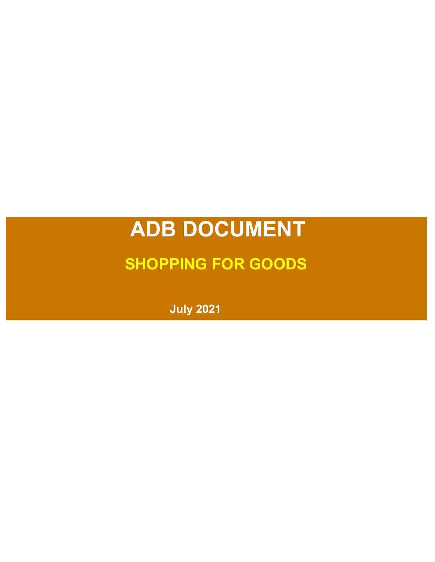# **ADB DOCUMENT**

# **SHOPPING FOR GOODS**

**July 2021**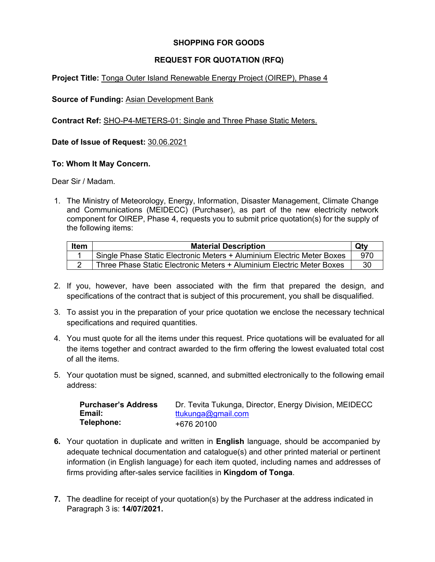# **SHOPPING FOR GOODS**

## **REQUEST FOR QUOTATION (RFQ)**

#### **Project Title:** Tonga Outer Island Renewable Energy Project (OIREP), Phase 4

#### **Source of Funding:** Asian Development Bank

**Contract Ref:** SHO-P4-METERS-01: Single and Three Phase Static Meters.

**Date of Issue of Request:** 30.06.2021

#### **To: Whom It May Concern.**

Dear Sir / Madam.

1. The Ministry of Meteorology, Energy, Information, Disaster Management, Climate Change and Communications (MEIDECC) (Purchaser), as part of the new electricity network component for OIREP, Phase 4, requests you to submit price quotation(s) for the supply of the following items:

| ltem | <b>Material Description</b>                                            | <b>Qt</b> |
|------|------------------------------------------------------------------------|-----------|
|      | Single Phase Static Electronic Meters + Aluminium Electric Meter Boxes | .970      |
|      | Three Phase Static Electronic Meters + Aluminium Electric Meter Boxes  | 30        |

- 2. If you, however, have been associated with the firm that prepared the design, and specifications of the contract that is subject of this procurement, you shall be disqualified.
- 3. To assist you in the preparation of your price quotation we enclose the necessary technical specifications and required quantities.
- 4. You must quote for all the items under this request. Price quotations will be evaluated for all the items together and contract awarded to the firm offering the lowest evaluated total cost of all the items.
- 5. Your quotation must be signed, scanned, and submitted electronically to the following email address:

| <b>Purchaser's Address</b> | Dr. Tevita Tukunga, Director, Energy Division, MEIDECC |
|----------------------------|--------------------------------------------------------|
| Email:                     | ttukunga@gmail.com                                     |
| Telephone:                 | +676 20100                                             |

- **6.** Your quotation in duplicate and written in **English** language, should be accompanied by adequate technical documentation and catalogue(s) and other printed material or pertinent information (in English language) for each item quoted, including names and addresses of firms providing after-sales service facilities in **Kingdom of Tonga**.
- **7.** The deadline for receipt of your quotation(s) by the Purchaser at the address indicated in Paragraph 3 is: **14/07/2021.**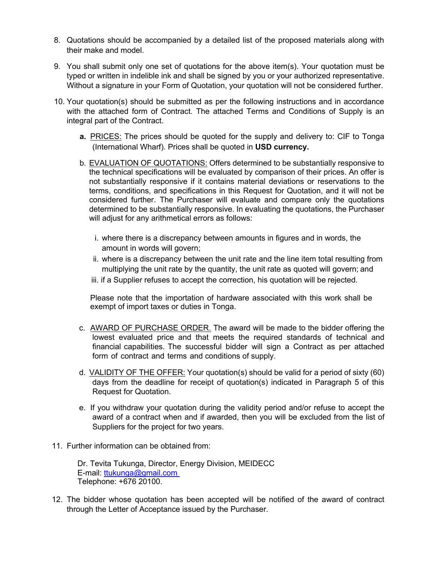- 8. Quotations should be accompanied by a detailed list of the proposed materials along with their make and model.
- 9. You shall submit only one set of quotations for the above item(s). Your quotation must be typed or written in indelible ink and shall be signed by you or your authorized representative. Without a signature in your Form of Quotation, your quotation will not be considered further.
- 10. Your quotation(s) should be submitted as per the following instructions and in accordance with the attached form of Contract. The attached Terms and Conditions of Supply is an integral part of the Contract.
	- **a.** PRICES: The prices should be quoted for the supply and delivery to: CIF to Tonga (International Wharf). Prices shall be quoted in **USD currency.**
	- b. EVALUATION OF QUOTATIONS: Offers determined to be substantially responsive to the technical specifications will be evaluated by comparison of their prices. An offer is not substantially responsive if it contains material deviations or reservations to the terms, conditions, and specifications in this Request for Quotation, and it will not be considered further. The Purchaser will evaluate and compare only the quotations determined to be substantially responsive. In evaluating the quotations, the Purchaser will adjust for any arithmetical errors as follows:
		- i. where there is a discrepancy between amounts in figures and in words, the amount in words will govern;
		- ii. where is a discrepancy between the unit rate and the line item total resulting from multiplying the unit rate by the quantity, the unit rate as quoted will govern; and
		- iii. if a Supplier refuses to accept the correction, his quotation will be rejected.

Please note that the importation of hardware associated with this work shall be exempt of import taxes or duties in Tonga.

- c. AWARD OF PURCHASE ORDER. The award will be made to the bidder offering the lowest evaluated price and that meets the required standards of technical and financial capabilities. The successful bidder will sign a Contract as per attached form of contract and terms and conditions of supply.
- d. VALIDITY OF THE OFFER: Your quotation(s) should be valid for a period of sixty (60) days from the deadline for receipt of quotation(s) indicated in Paragraph 5 of this Request for Quotation.
- e. If you withdraw your quotation during the validity period and/or refuse to accept the award of a contract when and if awarded, then you will be excluded from the list of Suppliers for the project for two years.
- 11. Further information can be obtained from:

Dr. Tevita Tukunga, Director, Energy Division, MEIDECC E-mail: ttukunga@gmail.com Telephone: +676 20100.

12. The bidder whose quotation has been accepted will be notified of the award of contract through the Letter of Acceptance issued by the Purchaser.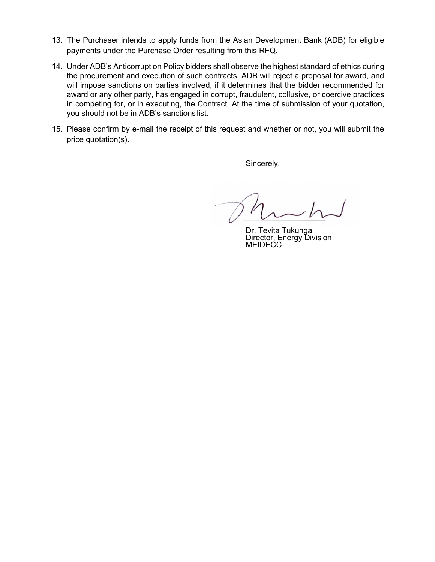- 13. The Purchaser intends to apply funds from the Asian Development Bank (ADB) for eligible payments under the Purchase Order resulting from this RFQ.
- 14. Under ADB's Anticorruption Policy bidders shall observe the highest standard of ethics during the procurement and execution of such contracts. ADB will reject a proposal for award, and will impose sanctions on parties involved, if it determines that the bidder recommended for award or any other party, has engaged in corrupt, fraudulent, collusive, or coercive practices in competing for, or in executing, the Contract. At the time of submission of your quotation, you should not be in ADB's sanctions list.
- 15. Please confirm by e-mail the receipt of this request and whether or not, you will submit the price quotation(s).

Sincerely,

Dr. Tevita Tukunga Director, Energy Division **MEIDECC**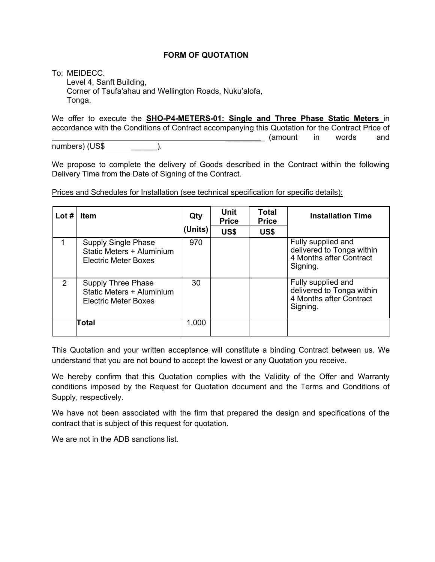#### **FORM OF QUOTATION**

To: MEIDECC.

Level 4, Sanft Building, Corner of Taufa'ahau and Wellington Roads, Nuku'alofa, Tonga.

We offer to execute the **SHO-P4-METERS-01: Single and Three Phase Static Meters** in accordance with the Conditions of Contract accompanying this Quotation for the Contract Price of (amount in words and

numbers) (US\$ \_\_\_\_\_\_).

We propose to complete the delivery of Goods described in the Contract within the following Delivery Time from the Date of Signing of the Contract.

| Lot $#$        | <b>Item</b>                                                                           | Qty     | Unit<br><b>Price</b> | Total<br><b>Price</b> | <b>Installation Time</b>                                                               |
|----------------|---------------------------------------------------------------------------------------|---------|----------------------|-----------------------|----------------------------------------------------------------------------------------|
|                |                                                                                       | (Units) | US\$                 | US\$                  |                                                                                        |
|                | <b>Supply Single Phase</b><br>Static Meters + Aluminium<br>Electric Meter Boxes       | 970     |                      |                       | Fully supplied and<br>delivered to Tonga within<br>4 Months after Contract<br>Signing. |
| $\overline{2}$ | <b>Supply Three Phase</b><br>Static Meters + Aluminium<br><b>Electric Meter Boxes</b> | 30      |                      |                       | Fully supplied and<br>delivered to Tonga within<br>4 Months after Contract<br>Signing. |
|                | Total                                                                                 | 1,000   |                      |                       |                                                                                        |

Prices and Schedules for Installation (see technical specification for specific details):

This Quotation and your written acceptance will constitute a binding Contract between us. We understand that you are not bound to accept the lowest or any Quotation you receive.

We hereby confirm that this Quotation complies with the Validity of the Offer and Warranty conditions imposed by the Request for Quotation document and the Terms and Conditions of Supply, respectively.

We have not been associated with the firm that prepared the design and specifications of the contract that is subject of this request for quotation.

We are not in the ADB sanctions list.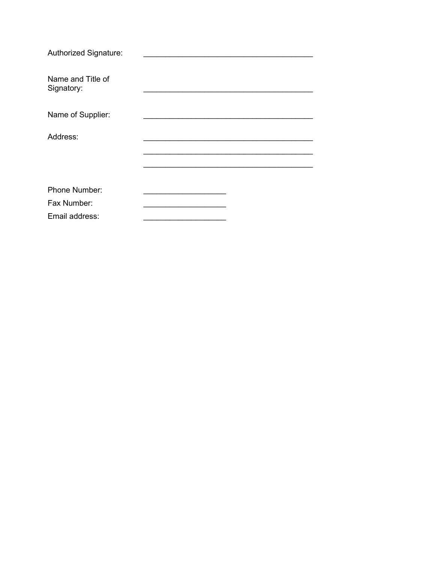| Authorized Signature:           |  |
|---------------------------------|--|
| Name and Title of<br>Signatory: |  |
| Name of Supplier:               |  |
| Address:                        |  |
|                                 |  |
|                                 |  |
| Phone Number:                   |  |
| Fax Number:                     |  |
| Email address:                  |  |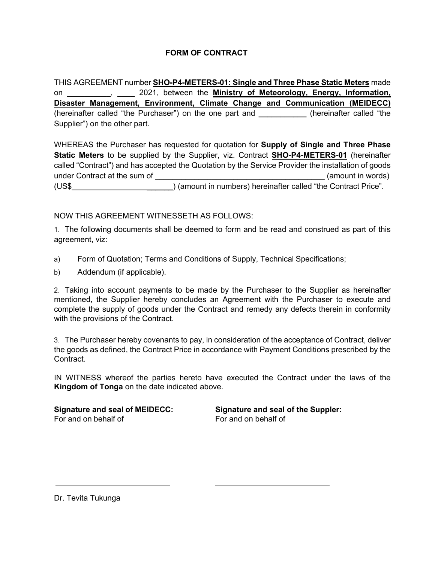# **FORM OF CONTRACT**

THIS AGREEMENT number **SHO-P4-METERS-01: Single and Three Phase Static Meters** made on \_\_\_\_\_\_\_\_\_\_, \_\_\_\_ 2021, between the **Ministry of Meteorology, Energy, Information, Disaster Management, Environment, Climate Change and Communication (MEIDECC)** (hereinafter called "the Purchaser") on the one part and **\_\_\_\_\_\_\_\_\_\_\_** (hereinafter called "the Supplier") on the other part.

WHEREAS the Purchaser has requested for quotation for **Supply of Single and Three Phase Static Meters** to be supplied by the Supplier, viz. Contract **SHO-P4-METERS-01** (hereinafter called "Contract") and has accepted the Quotation by the Service Provider the installation of goods under Contract at the sum of  $\Box$ (US\$ \_\_\_\_\_\_) (amount in numbers) hereinafter called "the Contract Price".

## NOW THIS AGREEMENT WITNESSETH AS FOLLOWS:

1. The following documents shall be deemed to form and be read and construed as part of this agreement, viz:

- a) Form of Quotation; Terms and Conditions of Supply, Technical Specifications;
- b) Addendum (if applicable).

2. Taking into account payments to be made by the Purchaser to the Supplier as hereinafter mentioned, the Supplier hereby concludes an Agreement with the Purchaser to execute and complete the supply of goods under the Contract and remedy any defects therein in conformity with the provisions of the Contract.

3. The Purchaser hereby covenants to pay, in consideration of the acceptance of Contract, deliver the goods as defined, the Contract Price in accordance with Payment Conditions prescribed by the Contract.

IN WITNESS whereof the parties hereto have executed the Contract under the laws of the **Kingdom of Tonga** on the date indicated above.

For and on behalf of For and on behalf of

**Signature and seal of MEIDECC: Signature and seal of the Suppler:**

Dr. Tevita Tukunga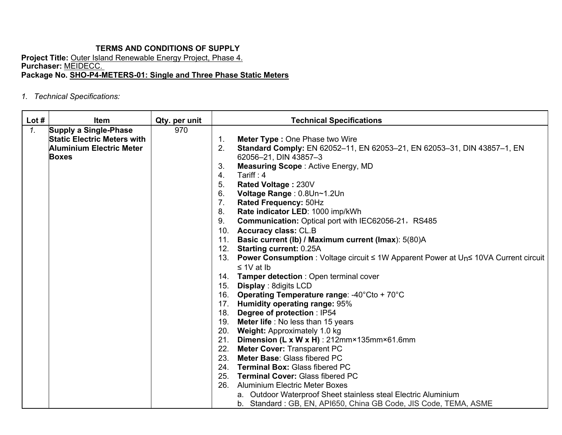# **TERMS AND CONDITIONS OF SUPPLY**

**Project Title:** Outer Island Renewable Energy Project, Phase 4. **Purchaser:** MEIDECC. **Package No. SHO-P4-METERS-01: Single and Three Phase Static Meters**

*1. Technical Specifications:*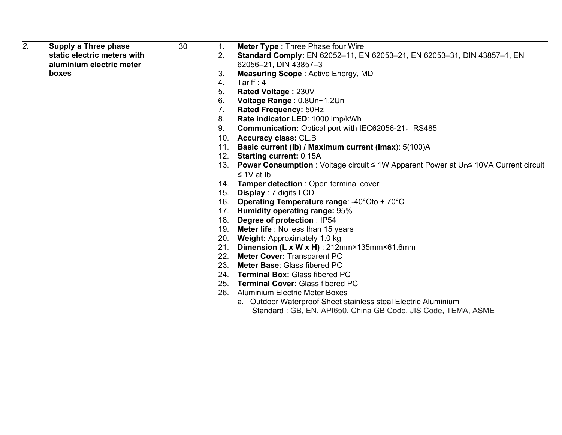| $\overline{2}$ . | Supply a Three phase        | 30 | 1.             | <b>Meter Type: Three Phase four Wire</b>                                                                            |
|------------------|-----------------------------|----|----------------|---------------------------------------------------------------------------------------------------------------------|
|                  | static electric meters with |    | 2.             | Standard Comply: EN 62052-11, EN 62053-21, EN 62053-31, DIN 43857-1, EN                                             |
|                  | aluminium electric meter    |    |                | 62056-21, DIN 43857-3                                                                                               |
|                  | boxes                       |    | 3.             | <b>Measuring Scope: Active Energy, MD</b>                                                                           |
|                  |                             |    | 4.             | Tariff: $4$                                                                                                         |
|                  |                             |    | 5.             | Rated Voltage: 230V                                                                                                 |
|                  |                             |    | 6.             | Voltage Range: 0.8Un~1.2Un                                                                                          |
|                  |                             |    | 7 <sub>1</sub> | Rated Frequency: 50Hz                                                                                               |
|                  |                             |    | 8.             | Rate indicator LED: 1000 imp/kWh                                                                                    |
|                  |                             |    | 9.             | Communication: Optical port with IEC62056-21, RS485                                                                 |
|                  |                             |    | 10.            | <b>Accuracy class: CL.B</b>                                                                                         |
|                  |                             |    | 11.            | Basic current (Ib) / Maximum current (Imax): 5(100)A                                                                |
|                  |                             |    | 12.            | <b>Starting current: 0.15A</b>                                                                                      |
|                  |                             |    | 13.            | <b>Power Consumption</b> : Voltage circuit $\leq 1$ W Apparent Power at U <sub>n</sub> $\leq 10$ VA Current circuit |
|                  |                             |    |                | $\leq 1$ V at Ib                                                                                                    |
|                  |                             |    |                | 14. Tamper detection: Open terminal cover                                                                           |
|                  |                             |    | 15.            | <b>Display: 7 digits LCD</b>                                                                                        |
|                  |                             |    | 16.            | Operating Temperature range: -40°Cto + 70°C                                                                         |
|                  |                             |    | 17.            | <b>Humidity operating range: 95%</b>                                                                                |
|                  |                             |    | 18.            | Degree of protection : IP54                                                                                         |
|                  |                             |    | 19.            | <b>Meter life</b> : No less than 15 years                                                                           |
|                  |                             |    | 20.            | Weight: Approximately 1.0 kg                                                                                        |
|                  |                             |    | 21.            | Dimension (L x W x H) : 212mm×135mm×61.6mm                                                                          |
|                  |                             |    | 22.            | <b>Meter Cover: Transparent PC</b>                                                                                  |
|                  |                             |    | 23.            | Meter Base: Glass fibered PC                                                                                        |
|                  |                             |    |                | 24. Terminal Box: Glass fibered PC                                                                                  |
|                  |                             |    |                | 25. Terminal Cover: Glass fibered PC                                                                                |
|                  |                             |    | 26.            | <b>Aluminium Electric Meter Boxes</b>                                                                               |
|                  |                             |    |                | a. Outdoor Waterproof Sheet stainless steal Electric Aluminium                                                      |
|                  |                             |    |                | Standard: GB, EN, API650, China GB Code, JIS Code, TEMA, ASME                                                       |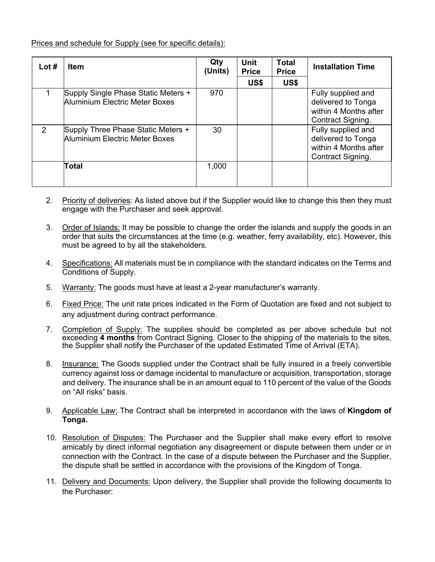Prices and schedule for Supply (see for specific details):

| Lot $#$ | <b>Item</b>                                                           | Qty<br>(Units) | Unit<br><b>Price</b> | <b>Total</b><br><b>Price</b> | <b>Installation Time</b>                                                               |
|---------|-----------------------------------------------------------------------|----------------|----------------------|------------------------------|----------------------------------------------------------------------------------------|
|         |                                                                       |                | US\$                 | US\$                         |                                                                                        |
|         | Supply Single Phase Static Meters +<br>Aluminium Electric Meter Boxes | 970            |                      |                              | Fully supplied and<br>delivered to Tonga<br>within 4 Months after<br>Contract Signing. |
| 2       | Supply Three Phase Static Meters +<br>Aluminium Electric Meter Boxes  | 30             |                      |                              | Fully supplied and<br>delivered to Tonga<br>within 4 Months after<br>Contract Signing. |
|         | Total                                                                 | 1,000          |                      |                              |                                                                                        |

- 2. Priority of deliveries: As listed above but if the Supplier would like to change this then they must engage with the Purchaser and seek approval.
- 3. Order of Islands: It may be possible to change the order the islands and supply the goods in an order that suits the circumstances at the time (e.g. weather, ferry availability, etc). However, this must be agreed to by all the stakeholders.
- 4. Specifications: All materials must be in compliance with the standard indicates on the Terms and Conditions of Supply.
- 5. Warranty: The goods must have at least a 2-year manufacturer's warranty.
- 6. Fixed Price: The unit rate prices indicated in the Form of Quotation are fixed and not subject to any adjustment during contract performance.
- 7. Completion of Supply: The supplies should be completed as per above schedule but not exceeding **4 months** from Contract Signing. Closer to the shipping of the materials to the sites, the Supplier shall notify the Purchaser of the updated Estimated Time of Arrival (ETA).
- 8. Insurance: The Goods supplied under the Contract shall be fully insured in a freely convertible currency against loss or damage incidental to manufacture or acquisition, transportation, storage and delivery. The insurance shall be in an amount equal to 110 percent of the value of the Goods on "All risks" basis.
- 9. Applicable Law: The Contract shall be interpreted in accordance with the laws of **Kingdom of Tonga.**
- 10. Resolution of Disputes: The Purchaser and the Supplier shall make every effort to resolve amicably by direct informal negotiation any disagreement or dispute between them under or in connection with the Contract. In the case of a dispute between the Purchaser and the Supplier, the dispute shall be settled in accordance with the provisions of the Kingdom of Tonga.
- 11. Delivery and Documents: Upon delivery, the Supplier shall provide the following documents to the Purchaser: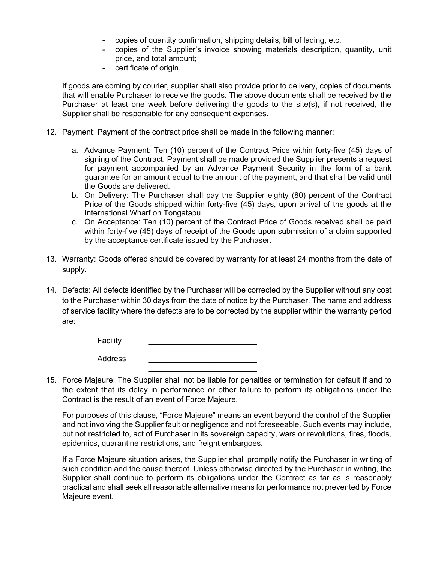- copies of quantity confirmation, shipping details, bill of lading, etc.
- copies of the Supplier's invoice showing materials description, quantity, unit price, and total amount;
- certificate of origin.

If goods are coming by courier, supplier shall also provide prior to delivery, copies of documents that will enable Purchaser to receive the goods. The above documents shall be received by the Purchaser at least one week before delivering the goods to the site(s), if not received, the Supplier shall be responsible for any consequent expenses.

- 12. Payment: Payment of the contract price shall be made in the following manner:
	- a. Advance Payment: Ten (10) percent of the Contract Price within forty-five (45) days of signing of the Contract. Payment shall be made provided the Supplier presents a request for payment accompanied by an Advance Payment Security in the form of a bank guarantee for an amount equal to the amount of the payment, and that shall be valid until the Goods are delivered.
	- b. On Delivery: The Purchaser shall pay the Supplier eighty (80) percent of the Contract Price of the Goods shipped within forty-five (45) days, upon arrival of the goods at the International Wharf on Tongatapu.
	- c. On Acceptance: Ten (10) percent of the Contract Price of Goods received shall be paid within forty-five (45) days of receipt of the Goods upon submission of a claim supported by the acceptance certificate issued by the Purchaser.
- 13. Warranty: Goods offered should be covered by warranty for at least 24 months from the date of supply.
- 14. Defects: All defects identified by the Purchaser will be corrected by the Supplier without any cost to the Purchaser within 30 days from the date of notice by the Purchaser. The name and address of service facility where the defects are to be corrected by the supplier within the warranty period are:

**Facility** 

Address \_\_\_\_\_\_\_\_\_\_\_\_\_\_\_\_\_\_\_\_\_\_\_\_\_

15. Force Majeure: The Supplier shall not be liable for penalties or termination for default if and to the extent that its delay in performance or other failure to perform its obligations under the Contract is the result of an event of Force Majeure.

 $\frac{1}{2}$  , which is the set of the set of the set of the set of the set of the set of the set of the set of the set of the set of the set of the set of the set of the set of the set of the set of the set of the set of th

For purposes of this clause, "Force Majeure" means an event beyond the control of the Supplier and not involving the Supplier fault or negligence and not foreseeable. Such events may include, but not restricted to, act of Purchaser in its sovereign capacity, wars or revolutions, fires, floods, epidemics, quarantine restrictions, and freight embargoes.

If a Force Majeure situation arises, the Supplier shall promptly notify the Purchaser in writing of such condition and the cause thereof. Unless otherwise directed by the Purchaser in writing, the Supplier shall continue to perform its obligations under the Contract as far as is reasonably practical and shall seek all reasonable alternative means for performance not prevented by Force Majeure event.